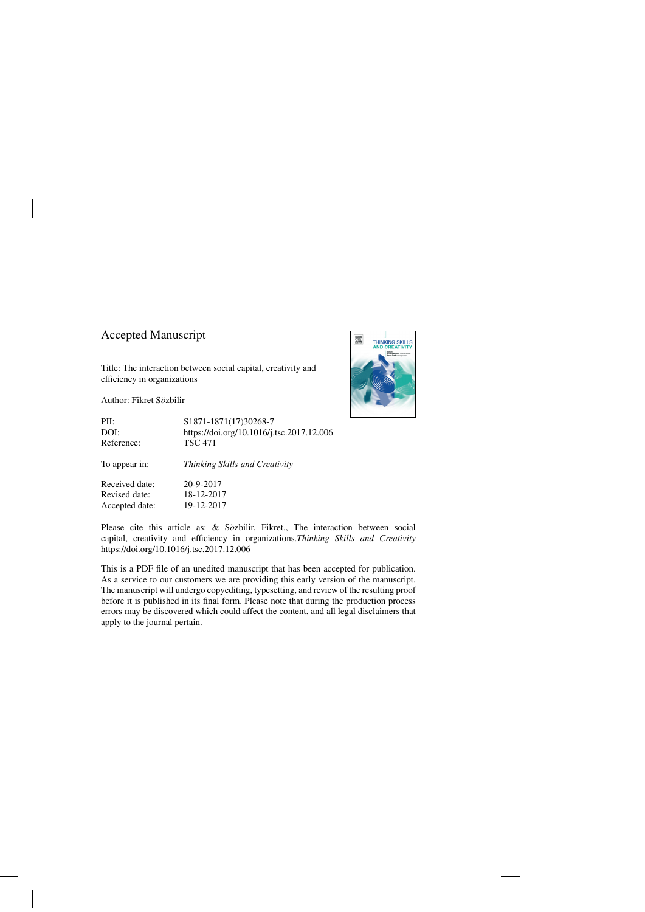# Accepted Manuscript

Title: The interaction between social capital, creativity and efficiency in organizations

Author: Fikret Sözbilir



Please cite this article as: & Sözbilir, Fikret., The interaction between social capital, creativity and efficiency in organizations.*Thinking Skills and Creativity* <https://doi.org/10.1016/j.tsc.2017.12.006>

This is a PDF file of an unedited manuscript that has been accepted for publication. As a service to our customers we are providing this early version of the manuscript. The manuscript will undergo copyediting, typesetting, and review of the resulting proof before it is published in its final form. Please note that during the production process errors may be discovered which could affect the content, and all legal disclaimers that apply to the journal pertain.

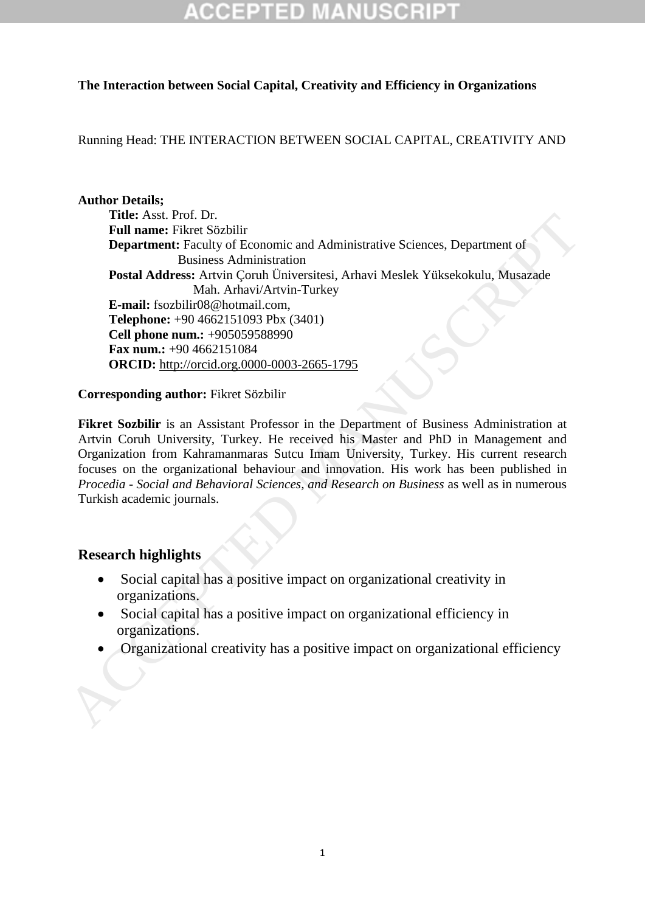## **The Interaction between Social Capital, Creativity and Efficiency in Organizations**

## Running Head: THE INTERACTION BETWEEN SOCIAL CAPITAL, CREATIVITY AND

### **Author Details;**

**Title:** Asst. Prof. Dr. **Full name:** Fikret Sözbilir **Department:** Faculty of Economic and Administrative Sciences, Department of Business Administration **Postal Address:** Artvin Çoruh Üniversitesi, Arhavi Meslek Yüksekokulu, Musazade Mah. Arhavi/Artvin-Turkey **E-mail:** fsozbilir08@hotmail.com, **Telephone:** +90 4662151093 Pbx (3401) **Cell phone num.:** +905059588990 **Fax num.:** +90 4662151084 **ORCID:** http://orcid.org.0000-0003-2665-1795 The State Frock Dr. Dr. Creativity Creativity Sciences, Department of<br>
Full name: Fixed Solvinic Creativity distances in Administration<br>
Postal Address: Arthur Conto Diviersitesi, Arhavi Meslek Yüksekokulu, Musazade<br>
E-ma

### **Corresponding author:** Fikret Sözbilir

**Fikret Sozbilir** is an Assistant Professor in the Department of Business Administration at Artvin Coruh University, Turkey. He received his Master and PhD in Management and Organization from Kahramanmaras Sutcu Imam University, Turkey. His current research focuses on the organizational behaviour and innovation. His work has been published in *Procedia - Social and Behavioral Sciences, and Research on Business* as well as in numerous Turkish academic journals.

# **Research highlights**

- Social capital has a positive impact on organizational creativity in organizations.
- Social capital has a positive impact on organizational efficiency in organizations.
-